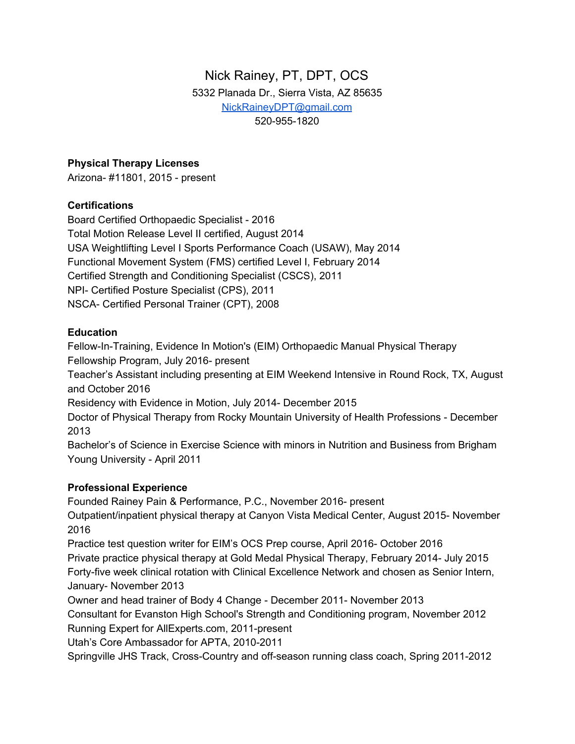# Nick Rainey, PT, DPT, OCS 5332 Planada Dr., Sierra Vista, AZ 85635 [NickRaineyDPT@gmail.com](mailto:NickRaineyDPT@gmail.com) 520-955-1820

### **Physical Therapy Licenses**

Arizona- #11801, 2015 - present

### **Certifications**

Board Certified Orthopaedic Specialist - 2016 Total Motion Release Level II certified, August 2014 USA Weightlifting Level I Sports Performance Coach (USAW), May 2014 Functional Movement System (FMS) certified Level I, February 2014 Certified Strength and Conditioning Specialist (CSCS), 2011 NPI- Certified Posture Specialist (CPS), 2011 NSCA- Certified Personal Trainer (CPT), 2008

### **Education**

Fellow-In-Training, Evidence In Motion's (EIM) Orthopaedic Manual Physical Therapy Fellowship Program, July 2016- present

Teacher's Assistant including presenting at EIM Weekend Intensive in Round Rock, TX, August and October 2016

Residency with Evidence in Motion, July 2014- December 2015

Doctor of Physical Therapy from Rocky Mountain University of Health Professions - December 2013

Bachelor's of Science in Exercise Science with minors in Nutrition and Business from Brigham Young University - April 2011

## **Professional Experience**

Founded Rainey Pain & Performance, P.C., November 2016- present

Outpatient/inpatient physical therapy at Canyon Vista Medical Center, August 2015- November 2016

Practice test question writer for EIM's OCS Prep course, April 2016- October 2016

Private practice physical therapy at Gold Medal Physical Therapy, February 2014- July 2015 Forty-five week clinical rotation with Clinical Excellence Network and chosen as Senior Intern, January- November 2013

Owner and head trainer of Body 4 Change - December 2011- November 2013

Consultant for Evanston High School's Strength and Conditioning program, November 2012 Running Expert for AllExperts.com, 2011-present

Utah's Core Ambassador for APTA, 2010-2011

Springville JHS Track, Cross-Country and off-season running class coach, Spring 2011-2012